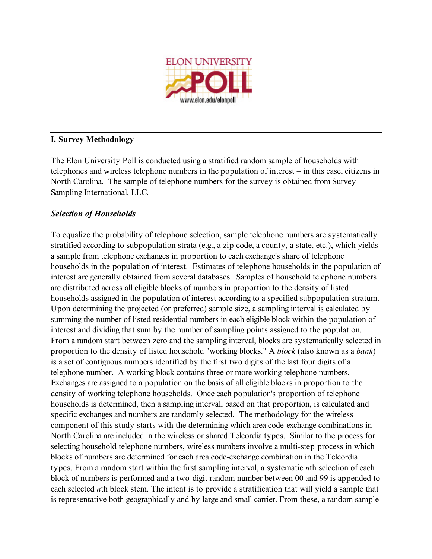

## **I. Survey Methodology**

The Elon University Poll is conducted using a stratified random sample of households with telephones and wireless telephone numbers in the population of interest – in this case, citizens in North Carolina. The sample of telephone numbers for the survey is obtained from Survey Sampling International, LLC.

# *Selection of Households*

To equalize the probability of telephone selection, sample telephone numbers are systematically stratified according to subpopulation strata (e.g., a zip code, a county, a state, etc.), which yields a sample from telephone exchanges in proportion to each exchange's share of telephone households in the population of interest. Estimates of telephone households in the population of interest are generally obtained from several databases. Samples of household telephone numbers are distributed across all eligible blocks of numbers in proportion to the density of listed households assigned in the population of interest according to a specified subpopulation stratum. Upon determining the projected (or preferred) sample size, a sampling interval is calculated by summing the number of listed residential numbers in each eligible block within the population of interest and dividing that sum by the number of sampling points assigned to the population. From a random start between zero and the sampling interval, blocks are systematically selected in proportion to the density of listed household "working blocks." A *block* (also known as a *bank*) is a set of contiguous numbers identified by the first two digits of the last four digits of a telephone number. A working block contains three or more working telephone numbers. Exchanges are assigned to a population on the basis of all eligible blocks in proportion to the density of working telephone households. Once each population's proportion of telephone households is determined, then a sampling interval, based on that proportion, is calculated and specific exchanges and numbers are randomly selected. The methodology for the wireless component of this study starts with the determining which area code-exchange combinations in North Carolina are included in the wireless or shared Telcordia types. Similar to the process for selecting household telephone numbers, wireless numbers involve a multi-step process in which blocks of numbers are determined for each area code-exchange combination in the Telcordia types. From a random start within the first sampling interval, a systematic *n*th selection of each block of numbers is performed and a two-digit random number between 00 and 99 is appended to each selected *n*th block stem. The intent is to provide a stratification that will yield a sample that is representative both geographically and by large and small carrier. From these, a random sample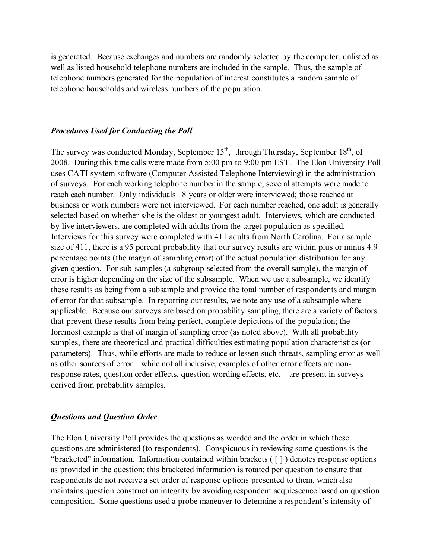is generated. Because exchanges and numbers are randomly selected by the computer, unlisted as well as listed household telephone numbers are included in the sample. Thus, the sample of telephone numbers generated for the population of interest constitutes a random sample of telephone households and wireless numbers of the population.

#### *Procedures Used for Conducting the Poll*

The survey was conducted Monday, September  $15<sup>th</sup>$ , through Thursday, September  $18<sup>th</sup>$ , of 2008. During this time calls were made from 5:00 pm to 9:00 pm EST. The Elon University Poll uses CATI system software (Computer Assisted Telephone Interviewing) in the administration of surveys. For each working telephone number in the sample, several attempts were made to reach each number. Only individuals 18 years or older were interviewed; those reached at business or work numbers were not interviewed. For each number reached, one adult is generally selected based on whether s/he is the oldest or youngest adult. Interviews, which are conducted by live interviewers, are completed with adults from the target population as specified. Interviews for this survey were completed with 411 adults from North Carolina. For a sample size of 411, there is a 95 percent probability that our survey results are within plus or minus 4.9 percentage points (the margin of sampling error) of the actual population distribution for any given question. For sub-samples (a subgroup selected from the overall sample), the margin of error is higher depending on the size of the subsample. When we use a subsample, we identify these results as being from a subsample and provide the total number of respondents and margin of error for that subsample. In reporting our results, we note any use of a subsample where applicable. Because our surveys are based on probability sampling, there are a variety of factors that prevent these results from being perfect, complete depictions of the population; the foremost example is that of margin of sampling error (as noted above). With all probability samples, there are theoretical and practical difficulties estimating population characteristics (or parameters). Thus, while efforts are made to reduce or lessen such threats, sampling error as well as other sources of error – while not all inclusive, examples of other error effects are nonresponse rates, question order effects, question wording effects, etc. – are present in surveys derived from probability samples.

#### *Questions and Question Order*

The Elon University Poll provides the questions as worded and the order in which these questions are administered (to respondents). Conspicuous in reviewing some questions is the "bracketed" information. Information contained within brackets ( [ ] ) denotes response options as provided in the question; this bracketed information is rotated per question to ensure that respondents do not receive a set order of response options presented to them, which also maintains question construction integrity by avoiding respondent acquiescence based on question composition. Some questions used a probe maneuver to determine a respondent's intensity of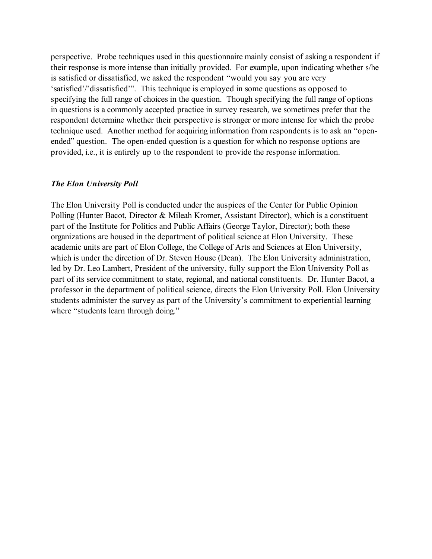perspective. Probe techniques used in this questionnaire mainly consist of asking a respondent if their response is more intense than initially provided. For example, upon indicating whether s/he is satisfied or dissatisfied, we asked the respondent "would you say you are very 'satisfied'/'dissatisfied'". This technique is employed in some questions as opposed to specifying the full range of choices in the question. Though specifying the full range of options in questions is a commonly accepted practice in survey research, we sometimes prefer that the respondent determine whether their perspective is stronger or more intense for which the probe technique used. Another method for acquiring information from respondents is to ask an "openended" question. The open-ended question is a question for which no response options are provided, i.e., it is entirely up to the respondent to provide the response information.

### *The Elon University Poll*

The Elon University Poll is conducted under the auspices of the Center for Public Opinion Polling (Hunter Bacot, Director & Mileah Kromer, Assistant Director), which is a constituent part of the Institute for Politics and Public Affairs (George Taylor, Director); both these organizations are housed in the department of political science at Elon University. These academic units are part of Elon College, the College of Arts and Sciences at Elon University, which is under the direction of Dr. Steven House (Dean). The Elon University administration, led by Dr. Leo Lambert, President of the university, fully support the Elon University Poll as part of its service commitment to state, regional, and national constituents. Dr. Hunter Bacot, a professor in the department of political science, directs the Elon University Poll. Elon University students administer the survey as part of the University's commitment to experiential learning where "students learn through doing."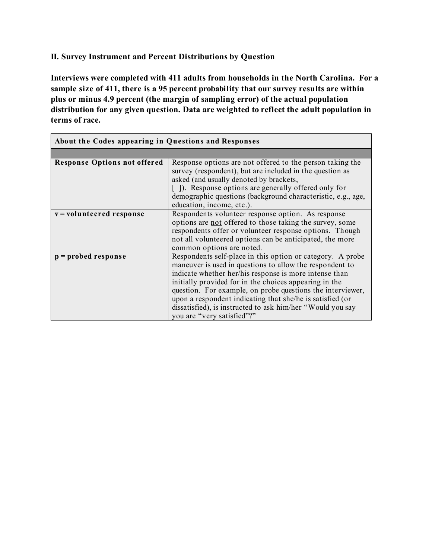**II. Survey Instrument and Percent Distributions by Question**

**Interviews were completed with 411 adults from households in the North Carolina. For a sample size of 411, there is a 95 percent probability that our survey results are within plus or minus 4.9 percent (the margin of sampling error) of the actual population distribution for any given question. Data are weighted to reflect the adult population in terms of race.**

| About the Codes appearing in Questions and Responses |                                                                                                                                                                                                                                                                                                                                                                                                                                                                   |  |
|------------------------------------------------------|-------------------------------------------------------------------------------------------------------------------------------------------------------------------------------------------------------------------------------------------------------------------------------------------------------------------------------------------------------------------------------------------------------------------------------------------------------------------|--|
|                                                      |                                                                                                                                                                                                                                                                                                                                                                                                                                                                   |  |
| <b>Response Options not offered</b>                  | Response options are not offered to the person taking the<br>survey (respondent), but are included in the question as<br>asked (and usually denoted by brackets,<br>[]). Response options are generally offered only for<br>demographic questions (background characteristic, e.g., age,<br>education, income, etc.).                                                                                                                                             |  |
| v = volunteered response                             | Respondents volunteer response option. As response<br>options are not offered to those taking the survey, some<br>respondents offer or volunteer response options. Though<br>not all volunteered options can be anticipated, the more<br>common options are noted.                                                                                                                                                                                                |  |
| $p =$ probed response                                | Respondents self-place in this option or category. A probe<br>maneuver is used in questions to allow the respondent to<br>indicate whether her/his response is more intense than<br>initially provided for in the choices appearing in the<br>question. For example, on probe questions the interviewer,<br>upon a respondent indicating that she/he is satisfied (or<br>dissatisfied), is instructed to ask him/her "Would you say<br>you are "very satisfied"?" |  |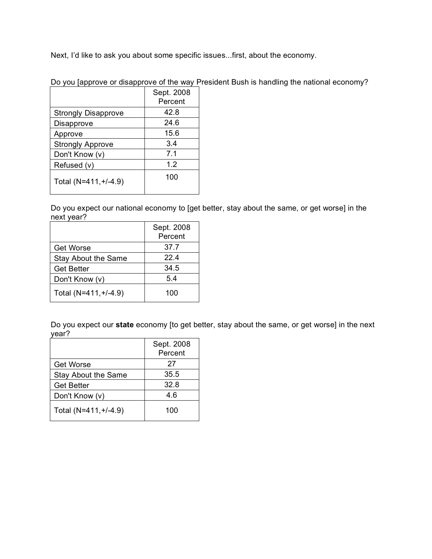Next, I'd like to ask you about some specific issues...first, about the economy.

|  |  | Do you [approve or disapprove of the way President Bush is handling the national economy? |  |  |  |
|--|--|-------------------------------------------------------------------------------------------|--|--|--|
|  |  |                                                                                           |  |  |  |
|  |  |                                                                                           |  |  |  |
|  |  |                                                                                           |  |  |  |

|                            | Sept. 2008 |
|----------------------------|------------|
|                            | Percent    |
| <b>Strongly Disapprove</b> | 42.8       |
| Disapprove                 | 24.6       |
| Approve                    | 15.6       |
| <b>Strongly Approve</b>    | 3.4        |
| Don't Know (v)             | 7.1        |
| Refused (v)                | 1.2        |
| Total (N=411, +/-4.9)      | 100        |

Do you expect our national economy to [get better, stay about the same, or get worse] in the next year?

|                       | Sept. 2008 |
|-----------------------|------------|
|                       | Percent    |
| <b>Get Worse</b>      | 37.7       |
| Stay About the Same   | 224        |
| <b>Get Better</b>     | 34.5       |
| Don't Know (v)        | 5.4        |
| Total (N=411, +/-4.9) | 100        |

Do you expect our **state** economy [to get better, stay about the same, or get worse] in the next year?

|                       | Sept. 2008<br>Percent |
|-----------------------|-----------------------|
| <b>Get Worse</b>      | 27                    |
| Stay About the Same   | 35.5                  |
| <b>Get Better</b>     | 32.8                  |
| Don't Know (v)        | 4.6                   |
| Total (N=411, +/-4.9) | 100                   |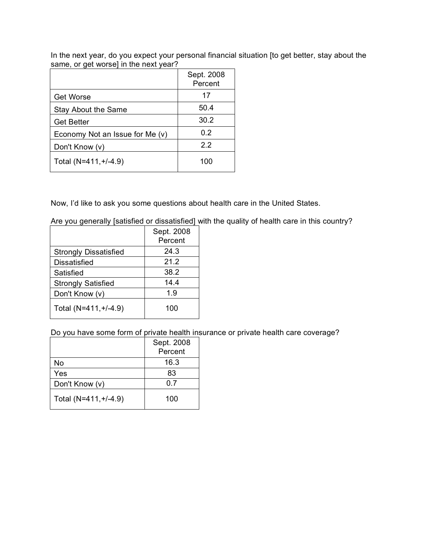In the next year, do you expect your personal financial situation [to get better, stay about the same, or get worse] in the next year?

|                                 | Sept. 2008<br>Percent |
|---------------------------------|-----------------------|
| <b>Get Worse</b>                | 17                    |
| Stay About the Same             | 50.4                  |
| <b>Get Better</b>               | 30.2                  |
| Economy Not an Issue for Me (v) | 0.2                   |
| Don't Know (v)                  | 2.2                   |
| Total (N=411, +/-4.9)           | 100                   |

Now, I'd like to ask you some questions about health care in the United States.

Are you generally [satisfied or dissatisfied] with the quality of health care in this country?

|                              | Sept. 2008 |
|------------------------------|------------|
|                              | Percent    |
| <b>Strongly Dissatisfied</b> | 24.3       |
| <b>Dissatisfied</b>          | 21.2       |
| Satisfied                    | 38.2       |
| <b>Strongly Satisfied</b>    | 14.4       |
| Don't Know (v)               | 1.9        |
| Total (N=411, +/-4.9)        | 100        |

Do you have some form of private health insurance or private health care coverage?

|                       | Sept. 2008<br>Percent |
|-----------------------|-----------------------|
| No                    | 16.3                  |
|                       |                       |
| Yes                   | 83                    |
| Don't Know (v)        | ი ⁊                   |
| Total (N=411, +/-4.9) | 100                   |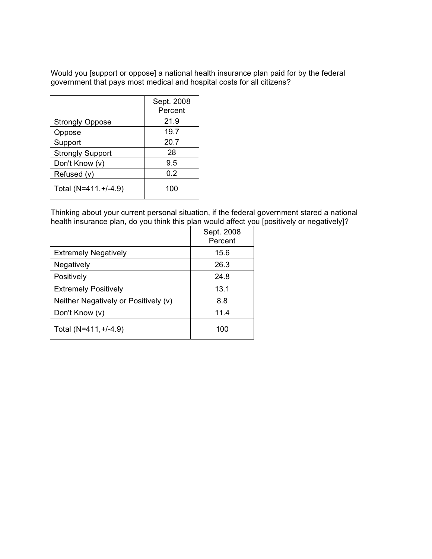Would you [support or oppose] a national health insurance plan paid for by the federal government that pays most medical and hospital costs for all citizens?

|                         | Sept. 2008<br>Percent |
|-------------------------|-----------------------|
| <b>Strongly Oppose</b>  | 21.9                  |
| Oppose                  | 19.7                  |
| Support                 | 20.7                  |
| <b>Strongly Support</b> | 28                    |
| Don't Know (v)          | 9.5                   |
| Refused (v)             | 0.2                   |
| Total (N=411, +/-4.9)   | 100                   |

Thinking about your current personal situation, if the federal government stared a national health insurance plan, do you think this plan would affect you [positively or negatively]?

|                                      | Sept. 2008<br>Percent |
|--------------------------------------|-----------------------|
| <b>Extremely Negatively</b>          | 15.6                  |
| Negatively                           | 26.3                  |
| Positively                           | 24.8                  |
| <b>Extremely Positively</b>          | 13.1                  |
| Neither Negatively or Positively (v) | 8.8                   |
| Don't Know (v)                       | 11.4                  |
| Total (N=411, +/-4.9)                | 100                   |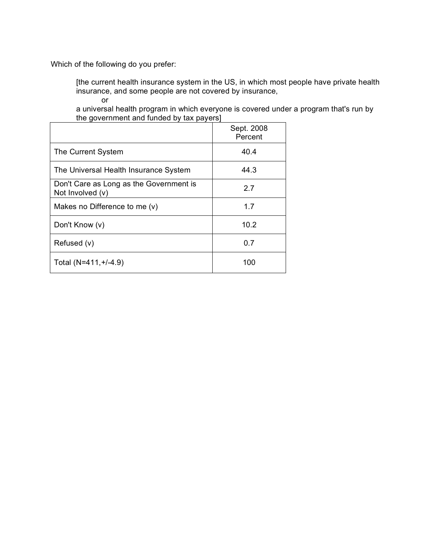Which of the following do you prefer:

[the current health insurance system in the US, in which most people have private health insurance, and some people are not covered by insurance, or

a universal health program in which everyone is covered under a program that's run by the government and funded by tax payers]

|                                                             | Sept. 2008<br>Percent |
|-------------------------------------------------------------|-----------------------|
| The Current System                                          | 40.4                  |
| The Universal Health Insurance System                       | 44.3                  |
| Don't Care as Long as the Government is<br>Not Involved (v) | 2.7                   |
| Makes no Difference to me $(v)$                             | 1.7                   |
| Don't Know (v)                                              | 10.2                  |
| Refused (v)                                                 | 0.7                   |
| Total (N=411, +/-4.9)                                       | 100                   |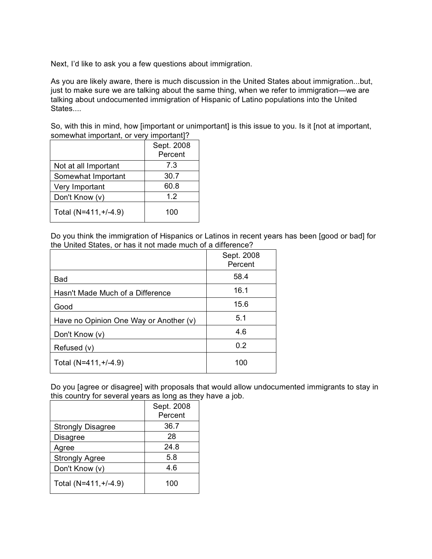Next, I'd like to ask you a few questions about immigration.

As you are likely aware, there is much discussion in the United States about immigration...but, just to make sure we are talking about the same thing, when we refer to immigration—we are talking about undocumented immigration of Hispanic of Latino populations into the United States....

So, with this in mind, how [important or unimportant] is this issue to you. Is it [not at important, somewhat important, or very important]?

|                       | Sept. 2008 |
|-----------------------|------------|
|                       | Percent    |
| Not at all Important  | 7.3        |
| Somewhat Important    | 30.7       |
| Very Important        | 60.8       |
| Don't Know (v)        | 12         |
| Total (N=411, +/-4.9) | 100        |

Do you think the immigration of Hispanics or Latinos in recent years has been [good or bad] for the United States, or has it not made much of a difference?

|                                        | Sept. 2008<br>Percent |
|----------------------------------------|-----------------------|
| Bad                                    | 58.4                  |
| Hasn't Made Much of a Difference       | 16.1                  |
| Good                                   | 15.6                  |
| Have no Opinion One Way or Another (v) | 5.1                   |
| Don't Know (v)                         | 4.6                   |
| Refused (v)                            | 0.2                   |
| Total (N=411, +/-4.9)                  | 100                   |

Do you [agree or disagree] with proposals that would allow undocumented immigrants to stay in this country for several years as long as they have a job.

|                          | Sept. 2008 |
|--------------------------|------------|
|                          | Percent    |
| <b>Strongly Disagree</b> | 36.7       |
| <b>Disagree</b>          | 28         |
| Agree                    | 24.8       |
| <b>Strongly Agree</b>    | 5.8        |
| Don't Know (v)           | 4.6        |
| Total (N=411, +/-4.9)    | 100        |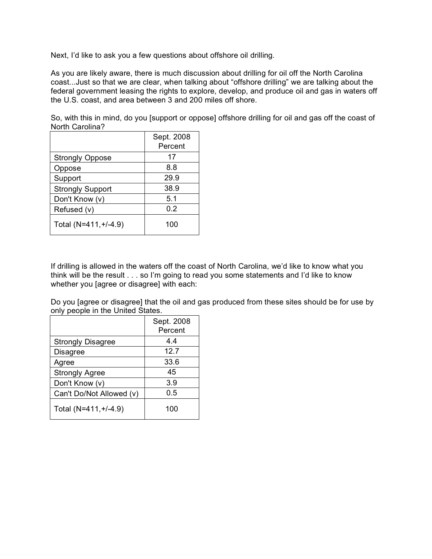Next, I'd like to ask you a few questions about offshore oil drilling.

As you are likely aware, there is much discussion about drilling for oil off the North Carolina coast...Just so that we are clear, when talking about "offshore drilling" we are talking about the federal government leasing the rights to explore, develop, and produce oil and gas in waters off the U.S. coast, and area between 3 and 200 miles off shore.

So, with this in mind, do you [support or oppose] offshore drilling for oil and gas off the coast of North Carolina?

|                         | Sept. 2008<br>Percent |
|-------------------------|-----------------------|
| <b>Strongly Oppose</b>  | 17                    |
| Oppose                  | 8.8                   |
| Support                 | 29.9                  |
| <b>Strongly Support</b> | 38.9                  |
| Don't Know (v)          | 5.1                   |
| Refused (v)             | 0.2                   |
| Total (N=411, +/-4.9)   | 100                   |

If drilling is allowed in the waters off the coast of North Carolina, we'd like to know what you think will be the result . . . so I'm going to read you some statements and I'd like to know whether you [agree or disagree] with each:

Do you [agree or disagree] that the oil and gas produced from these sites should be for use by only people in the United States.

|                          | Sept. 2008<br>Percent |
|--------------------------|-----------------------|
| <b>Strongly Disagree</b> | 4.4                   |
| <b>Disagree</b>          | 12.7                  |
| Agree                    | 33.6                  |
| <b>Strongly Agree</b>    | 45                    |
| Don't Know (v)           | 3.9                   |
| Can't Do/Not Allowed (v) | 0.5                   |
| Total (N=411, +/-4.9)    | 100                   |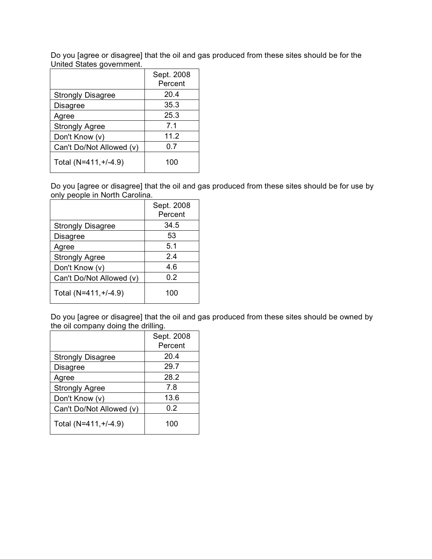Do you [agree or disagree] that the oil and gas produced from these sites should be for the United States government.

|                          | Sept. 2008<br>Percent |
|--------------------------|-----------------------|
| <b>Strongly Disagree</b> | 20.4                  |
| <b>Disagree</b>          | 35.3                  |
| Agree                    | 25.3                  |
| <b>Strongly Agree</b>    | 7.1                   |
| Don't Know (v)           | 11.2                  |
| Can't Do/Not Allowed (v) | 0.7                   |
| Total (N=411, +/-4.9)    | 100                   |

Do you [agree or disagree] that the oil and gas produced from these sites should be for use by only people in North Carolina.

|                          | Sept. 2008<br>Percent |
|--------------------------|-----------------------|
| <b>Strongly Disagree</b> | 34.5                  |
| <b>Disagree</b>          | 53                    |
| Agree                    | 5.1                   |
| <b>Strongly Agree</b>    | 2.4                   |
| Don't Know (v)           | 4.6                   |
| Can't Do/Not Allowed (v) | 0.2                   |
| Total (N=411, +/-4.9)    | 100                   |

Do you [agree or disagree] that the oil and gas produced from these sites should be owned by the oil company doing the drilling.

|                          | Sept. 2008<br>Percent |
|--------------------------|-----------------------|
| <b>Strongly Disagree</b> | 20.4                  |
| <b>Disagree</b>          | 29.7                  |
| Agree                    | 28.2                  |
| <b>Strongly Agree</b>    | 7.8                   |
| Don't Know (v)           | 13.6                  |
| Can't Do/Not Allowed (v) | 0.2                   |
| Total (N=411, +/-4.9)    | 100                   |